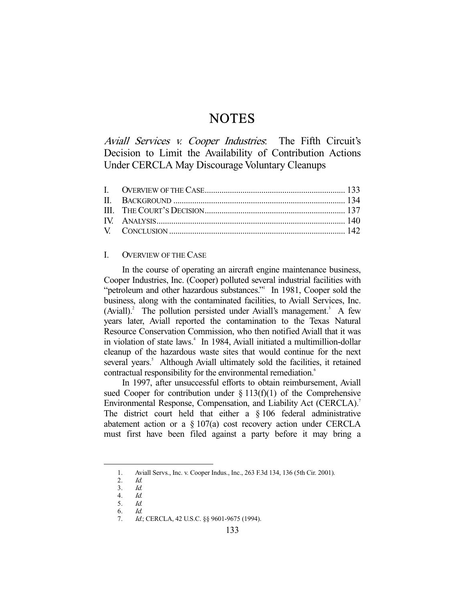# **NOTES**

Aviall Services v. Cooper Industries. The Fifth Circuit's Decision to Limit the Availability of Contribution Actions Under CERCLA May Discourage Voluntary Cleanups

## I. OVERVIEW OF THE CASE

 In the course of operating an aircraft engine maintenance business, Cooper Industries, Inc. (Cooper) polluted several industrial facilities with "petroleum and other hazardous substances." In 1981, Cooper sold the business, along with the contaminated facilities, to Aviall Services, Inc.  $(Aviall)<sup>2</sup>$  The pollution persisted under Aviall's management.<sup>3</sup> A few years later, Aviall reported the contamination to the Texas Natural Resource Conservation Commission, who then notified Aviall that it was in violation of state laws.4 In 1984, Aviall initiated a multimillion-dollar cleanup of the hazardous waste sites that would continue for the next several years.<sup>5</sup> Although Aviall ultimately sold the facilities, it retained contractual responsibility for the environmental remediation.<sup>6</sup>

 In 1997, after unsuccessful efforts to obtain reimbursement, Aviall sued Cooper for contribution under  $\S 113(f)(1)$  of the Comprehensive Environmental Response, Compensation, and Liability Act (CERCLA).<sup>7</sup> The district court held that either a § 106 federal administrative abatement action or a  $\S 107(a)$  cost recovery action under CERCLA must first have been filed against a party before it may bring a

 <sup>1.</sup> Aviall Servs., Inc. v. Cooper Indus., Inc., 263 F.3d 134, 136 (5th Cir. 2001).

 <sup>2.</sup> Id.

<sup>3.</sup>  $\frac{Id}{4}$ . 4. Id.

 <sup>5.</sup> Id.

 <sup>6.</sup> Id.

<sup>7.</sup> Id.; CERCLA, 42 U.S.C. §§ 9601-9675 (1994).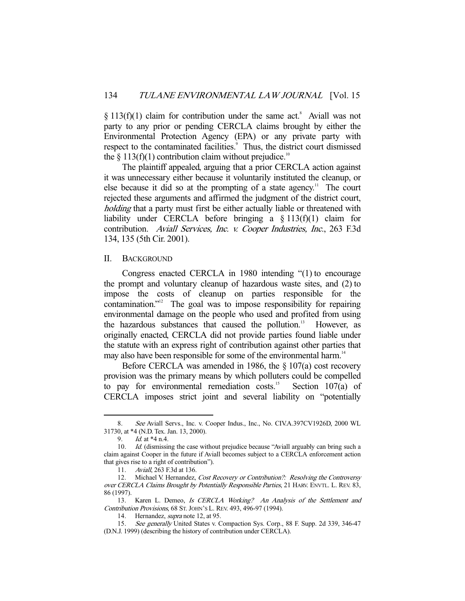$\S 113(f)(1)$  claim for contribution under the same act.<sup>8</sup> Aviall was not party to any prior or pending CERCLA claims brought by either the Environmental Protection Agency (EPA) or any private party with respect to the contaminated facilities.<sup>9</sup> Thus, the district court dismissed the  $\S 113(f)(1)$  contribution claim without prejudice.<sup>10</sup>

 The plaintiff appealed, arguing that a prior CERCLA action against it was unnecessary either because it voluntarily instituted the cleanup, or else because it did so at the prompting of a state agency.<sup>11</sup> The court rejected these arguments and affirmed the judgment of the district court, holding that a party must first be either actually liable or threatened with liability under CERCLA before bringing a § 113(f)(1) claim for contribution. Aviall Services, Inc. v. Cooper Industries, Inc., 263 F.3d 134, 135 (5th Cir. 2001).

#### II. BACKGROUND

 Congress enacted CERCLA in 1980 intending "(1) to encourage the prompt and voluntary cleanup of hazardous waste sites, and (2) to impose the costs of cleanup on parties responsible for the contamination."<sup>12</sup> The goal was to impose responsibility for repairing environmental damage on the people who used and profited from using the hazardous substances that caused the pollution.<sup>13</sup> However, as originally enacted, CERCLA did not provide parties found liable under the statute with an express right of contribution against other parties that may also have been responsible for some of the environmental harm.<sup>14</sup>

 Before CERCLA was amended in 1986, the § 107(a) cost recovery provision was the primary means by which polluters could be compelled to pay for environmental remediation costs.<sup>15</sup> Section  $107(a)$  of CERCLA imposes strict joint and several liability on "potentially

 <sup>8.</sup> See Aviall Servs., Inc. v. Cooper Indus., Inc., No. CIV.A.397CV1926D, 2000 WL 31730, at \*4 (N.D. Tex. Jan. 13, 2000).

<sup>9.</sup> *Id.* at \*4 n.4.

<sup>10.</sup> *Id.* (dismissing the case without prejudice because "Aviall arguably can bring such a claim against Cooper in the future if Aviall becomes subject to a CERCLA enforcement action that gives rise to a right of contribution").

 <sup>11.</sup> Aviall, 263 F.3d at 136.

<sup>12.</sup> Michael V. Hernandez, *Cost Recovery or Contribution?: Resolving the Controversy* over CERCLA Claims Brought by Potentially Responsible Parties, 21 HARV. ENVTL. L. REV. 83, 86 (1997).

<sup>13.</sup> Karen L. Demeo, Is CERCLA Working? An Analysis of the Settlement and Contribution Provisions, 68 ST. JOHN'S L. REV. 493, 496-97 (1994).

<sup>14.</sup> Hernandez, *supra* note 12, at 95.

 <sup>15.</sup> See generally United States v. Compaction Sys. Corp., 88 F. Supp. 2d 339, 346-47 (D.N.J. 1999) (describing the history of contribution under CERCLA).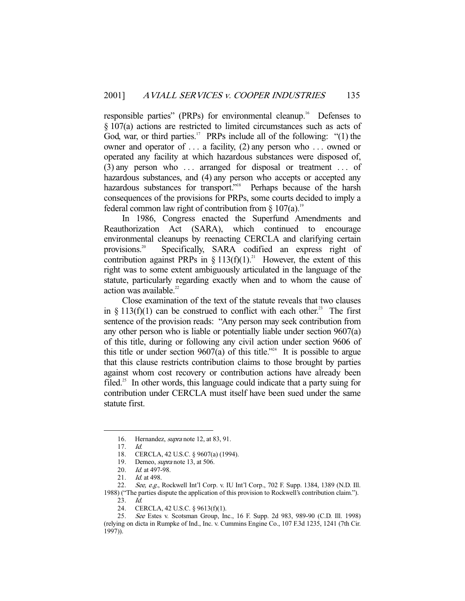responsible parties" (PRPs) for environmental cleanup.<sup>16</sup> Defenses to § 107(a) actions are restricted to limited circumstances such as acts of God, war, or third parties.<sup>17</sup> PRPs include all of the following: "(1) the owner and operator of . . . a facility, (2) any person who . . . owned or operated any facility at which hazardous substances were disposed of,  $(3)$  any person who ... arranged for disposal or treatment ... of hazardous substances, and (4) any person who accepts or accepted any hazardous substances for transport."<sup>18</sup> Perhaps because of the harsh consequences of the provisions for PRPs, some courts decided to imply a federal common law right of contribution from  $\S$  107(a).<sup>19</sup>

 In 1986, Congress enacted the Superfund Amendments and Reauthorization Act (SARA), which continued to encourage environmental cleanups by reenacting CERCLA and clarifying certain provisions.20 Specifically, SARA codified an express right of contribution against PRPs in § 113(f)(1).<sup>21</sup> However, the extent of this right was to some extent ambiguously articulated in the language of the statute, particularly regarding exactly when and to whom the cause of action was available.<sup>22</sup>

 Close examination of the text of the statute reveals that two clauses in § 113(f)(1) can be construed to conflict with each other.<sup>23</sup> The first sentence of the provision reads: "Any person may seek contribution from any other person who is liable or potentially liable under section 9607(a) of this title, during or following any civil action under section 9606 of this title or under section  $9607(a)$  of this title.<sup>224</sup> It is possible to argue that this clause restricts contribution claims to those brought by parties against whom cost recovery or contribution actions have already been filed.<sup>25</sup> In other words, this language could indicate that a party suing for contribution under CERCLA must itself have been sued under the same statute first.

-

22. See, e.g., Rockwell Int'l Corp. v. IU Int'l Corp., 702 F. Supp. 1384, 1389 (N.D. Ill. 1988) ("The parties dispute the application of this provision to Rockwell's contribution claim.").

23. Id.

<sup>16.</sup> Hernandez, *supra* note 12, at 83, 91.

 <sup>17.</sup> Id.

 <sup>18.</sup> CERCLA, 42 U.S.C. § 9607(a) (1994).

 <sup>19.</sup> Demeo, supra note 13, at 506.

<sup>20.</sup> *Id.* at 497-98.

<sup>21.</sup> *Id.* at 498.

 <sup>24.</sup> CERCLA, 42 U.S.C. § 9613(f)(1).

<sup>25.</sup> See Estes v. Scotsman Group, Inc., 16 F. Supp. 2d 983, 989-90 (C.D. Ill. 1998) (relying on dicta in Rumpke of Ind., Inc. v. Cummins Engine Co., 107 F.3d 1235, 1241 (7th Cir. 1997)).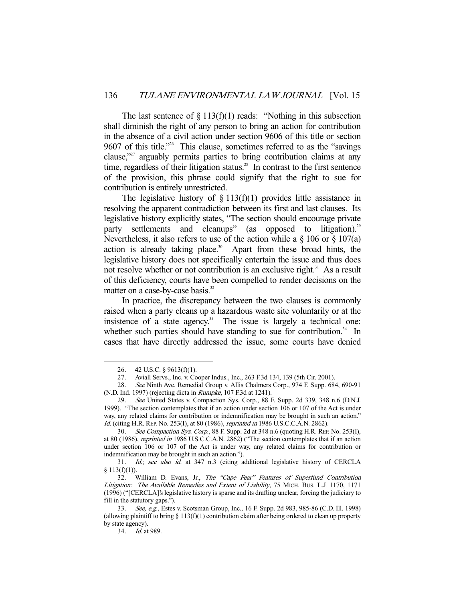The last sentence of  $\S 113(f)(1)$  reads: "Nothing in this subsection shall diminish the right of any person to bring an action for contribution in the absence of a civil action under section 9606 of this title or section 9607 of this title."<sup>26</sup> This clause, sometimes referred to as the "savings" clause,"27 arguably permits parties to bring contribution claims at any time, regardless of their litigation status.<sup>28</sup> In contrast to the first sentence of the provision, this phrase could signify that the right to sue for contribution is entirely unrestricted.

The legislative history of  $\S 113(f)(1)$  provides little assistance in resolving the apparent contradiction between its first and last clauses. Its legislative history explicitly states, "The section should encourage private party settlements and cleanups" (as opposed to litigation).<sup>29</sup> Nevertheless, it also refers to use of the action while a  $\S 106$  or  $\S 107(a)$ action is already taking place.<sup>30</sup> Apart from these broad hints, the legislative history does not specifically entertain the issue and thus does not resolve whether or not contribution is an exclusive right.<sup>31</sup> As a result of this deficiency, courts have been compelled to render decisions on the matter on a case-by-case basis.<sup>32</sup>

 In practice, the discrepancy between the two clauses is commonly raised when a party cleans up a hazardous waste site voluntarily or at the insistence of a state agency. $33$  The issue is largely a technical one: whether such parties should have standing to sue for contribution. $34$  In cases that have directly addressed the issue, some courts have denied

 <sup>26. 42</sup> U.S.C. § 9613(f)(1).

 <sup>27.</sup> Aviall Servs., Inc. v. Cooper Indus., Inc., 263 F.3d 134, 139 (5th Cir. 2001).

 <sup>28.</sup> See Ninth Ave. Remedial Group v. Allis Chalmers Corp., 974 F. Supp. 684, 690-91 (N.D. Ind. 1997) (rejecting dicta in Rumpke, 107 F.3d at 1241).

 <sup>29.</sup> See United States v. Compaction Sys. Corp., 88 F. Supp. 2d 339, 348 n.6 (D.N.J. 1999). "The section contemplates that if an action under section 106 or 107 of the Act is under way, any related claims for contribution or indemnification may be brought in such an action." Id. (citing H.R. REP. No. 253(I), at 80 (1986), reprinted in 1986 U.S.C.C.A.N. 2862).

 <sup>30.</sup> See Compaction Sys. Corp., 88 F. Supp. 2d at 348 n.6 (quoting H.R. REP. No. 253(I), at 80 (1986), reprinted in 1986 U.S.C.C.A.N. 2862) ("The section contemplates that if an action under section 106 or 107 of the Act is under way, any related claims for contribution or indemnification may be brought in such an action.").

 <sup>31.</sup> Id.; see also id. at 347 n.3 (citing additional legislative history of CERCLA  $$113(f)(1)).$ 

<sup>32.</sup> William D. Evans, Jr., The "Cape Fear" Features of Superfund Contribution Litigation: The Available Remedies and Extent of Liability, 75 MICH. BUS. L.J. 1170, 1171 (1996) ("[CERCLA]'s legislative history is sparse and its drafting unclear, forcing the judiciary to fill in the statutory gaps.").

<sup>33.</sup> See, e.g., Estes v. Scotsman Group, Inc., 16 F. Supp. 2d 983, 985-86 (C.D. Ill. 1998) (allowing plaintiff to bring  $\S 113(f)(1)$  contribution claim after being ordered to clean up property by state agency).

 <sup>34.</sup> Id. at 989.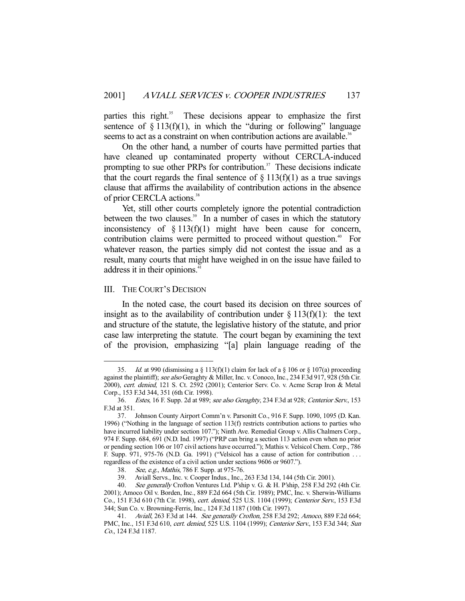parties this right.<sup>35</sup> These decisions appear to emphasize the first sentence of  $\S 113(f)(1)$ , in which the "during or following" language seems to act as a constraint on when contribution actions are available.<sup>36</sup>

 On the other hand, a number of courts have permitted parties that have cleaned up contaminated property without CERCLA-induced prompting to sue other PRPs for contribution.<sup>37</sup> These decisions indicate that the court regards the final sentence of  $\S 113(f)(1)$  as a true savings clause that affirms the availability of contribution actions in the absence of prior CERCLA actions.<sup>38</sup>

 Yet, still other courts completely ignore the potential contradiction between the two clauses.<sup>39</sup> In a number of cases in which the statutory inconsistency of  $\S 113(f)(1)$  might have been cause for concern, contribution claims were permitted to proceed without question.<sup>40</sup> For whatever reason, the parties simply did not contest the issue and as a result, many courts that might have weighed in on the issue have failed to address it in their opinions.<sup>41</sup>

#### III. THE COURT'S DECISION

-

 In the noted case, the court based its decision on three sources of insight as to the availability of contribution under  $\S 113(f)(1)$ : the text and structure of the statute, the legislative history of the statute, and prior case law interpreting the statute. The court began by examining the text of the provision, emphasizing "[a] plain language reading of the

<sup>35.</sup> *Id.* at 990 (dismissing a  $\S$  113(f)(1) claim for lack of a  $\S$  106 or  $\S$  107(a) proceeding against the plaintiff); see also Geraghty & Miller, Inc. v. Conoco, Inc., 234 F.3d 917, 928 (5th Cir. 2000), cert. denied, 121 S. Ct. 2592 (2001); Centerior Serv. Co. v. Acme Scrap Iron & Metal Corp., 153 F.3d 344, 351 (6th Cir. 1998).

 <sup>36.</sup> Estes, 16 F. Supp. 2d at 989; see also Geraghty, 234 F.3d at 928; Centerior Serv., 153 F.3d at 351.

 <sup>37.</sup> Johnson County Airport Comm'n v. Parsonitt Co., 916 F. Supp. 1090, 1095 (D. Kan. 1996) ("Nothing in the language of section 113(f) restricts contribution actions to parties who have incurred liability under section 107."); Ninth Ave. Remedial Group v. Allis Chalmers Corp., 974 F. Supp. 684, 691 (N.D. Ind. 1997) ("PRP can bring a section 113 action even when no prior or pending section 106 or 107 civil actions have occurred."); Mathis v. Velsicol Chem. Corp., 786 F. Supp. 971, 975-76 (N.D. Ga. 1991) ("Velsicol has a cause of action for contribution . . . regardless of the existence of a civil action under sections 9606 or 9607.").

 <sup>38.</sup> See, e.g., Mathis, 786 F. Supp. at 975-76.

 <sup>39.</sup> Aviall Servs., Inc. v. Cooper Indus., Inc., 263 F.3d 134, 144 (5th Cir. 2001).

 <sup>40.</sup> See generally Crofton Ventures Ltd. P'ship v. G. & H. P'ship, 258 F.3d 292 (4th Cir. 2001); Amoco Oil v. Borden, Inc., 889 F.2d 664 (5th Cir. 1989); PMC, Inc. v. Sherwin-Williams Co., 151 F.3d 610 (7th Cir. 1998), cert. denied, 525 U.S. 1104 (1999); Centerior Serv., 153 F.3d 344; Sun Co. v. Browning-Ferris, Inc., 124 F.3d 1187 (10th Cir. 1997).

<sup>41.</sup> Aviall, 263 F.3d at 144. See generally Crofton, 258 F.3d 292; Amoco, 889 F.2d 664; PMC, Inc., 151 F.3d 610, cert. denied, 525 U.S. 1104 (1999); Centerior Serv., 153 F.3d 344; Sun Co., 124 F.3d 1187.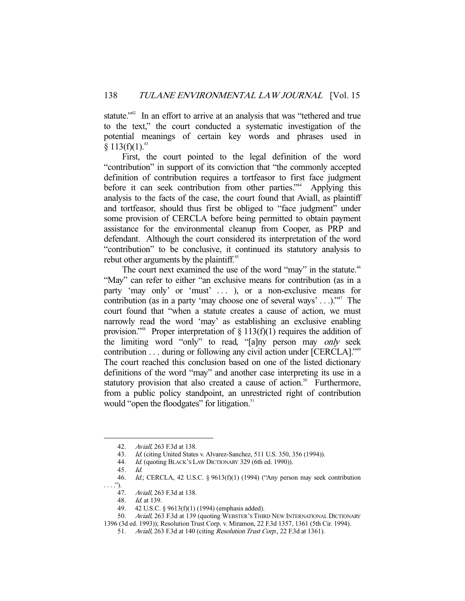statute."<sup>42</sup> In an effort to arrive at an analysis that was "tethered and true to the text," the court conducted a systematic investigation of the potential meanings of certain key words and phrases used in  $§ 113(f)(1).$ <sup>43</sup>

 First, the court pointed to the legal definition of the word "contribution" in support of its conviction that "the commonly accepted definition of contribution requires a tortfeasor to first face judgment before it can seek contribution from other parties."<sup>44</sup> Applying this analysis to the facts of the case, the court found that Aviall, as plaintiff and tortfeasor, should thus first be obliged to "face judgment" under some provision of CERCLA before being permitted to obtain payment assistance for the environmental cleanup from Cooper, as PRP and defendant. Although the court considered its interpretation of the word "contribution" to be conclusive, it continued its statutory analysis to rebut other arguments by the plaintiff.<sup>45</sup>

The court next examined the use of the word "may" in the statute.<sup>46</sup> "May" can refer to either "an exclusive means for contribution (as in a party 'may only' or 'must' ... ), or a non-exclusive means for contribution (as in a party 'may choose one of several ways' . . .)."<sup>47</sup> The court found that "when a statute creates a cause of action, we must narrowly read the word 'may' as establishing an exclusive enabling provision."<sup>48</sup> Proper interpretation of  $\S 113(f)(1)$  requires the addition of the limiting word "only" to read, "[a]ny person may only seek contribution . . . during or following any civil action under [CERCLA]."49 The court reached this conclusion based on one of the listed dictionary definitions of the word "may" and another case interpreting its use in a statutory provision that also created a cause of action.<sup>50</sup> Furthermore, from a public policy standpoint, an unrestricted right of contribution would "open the floodgates" for litigation.<sup>51</sup>

 <sup>42.</sup> Aviall, 263 F.3d at 138.

<sup>43.</sup> Id. (citing United States v. Alvarez-Sanchez, 511 U.S. 350, 356 (1994)).

<sup>44.</sup> Id. (quoting BLACK's LAW DICTIONARY 329 (6th ed. 1990)).

 <sup>45.</sup> Id.

 <sup>46.</sup> Id.; CERCLA, 42 U.S.C. § 9613(f)(1) (1994) ("Any person may seek contribution . . . .").

 <sup>47.</sup> Aviall, 263 F.3d at 138.

 <sup>48.</sup> Id. at 139.

 <sup>49. 42</sup> U.S.C. § 9613(f)(1) (1994) (emphasis added).

<sup>50.</sup> Aviall, 263 F.3d at 139 (quoting WEBSTER'S THIRD NEW INTERNATIONAL DICTIONARY

<sup>1396 (3</sup>d ed. 1993)); Resolution Trust Corp. v. Miramon, 22 F.3d 1357, 1361 (5th Cir. 1994).

 <sup>51.</sup> Aviall, 263 F.3d at 140 (citing Resolution Trust Corp., 22 F.3d at 1361).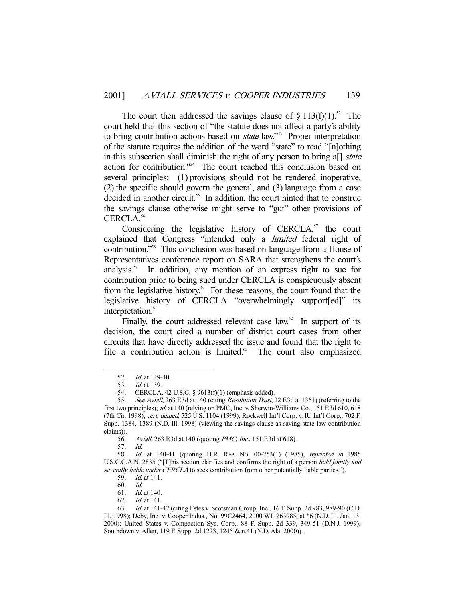The court then addressed the savings clause of  $\S 113(f)(1)^{52}$  The court held that this section of "the statute does not affect a party's ability to bring contribution actions based on *state* law."<sup>53</sup> Proper interpretation of the statute requires the addition of the word "state" to read "[n]othing in this subsection shall diminish the right of any person to bring a<sup>[]</sup> state action for contribution."54 The court reached this conclusion based on several principles: (1) provisions should not be rendered inoperative, (2) the specific should govern the general, and (3) language from a case decided in another circuit.<sup>55</sup> In addition, the court hinted that to construe the savings clause otherwise might serve to "gut" other provisions of CERCLA.56

Considering the legislative history of  $CERCIA$ ,<sup>57</sup> the court explained that Congress "intended only a limited federal right of contribution."58 This conclusion was based on language from a House of Representatives conference report on SARA that strengthens the court's analysis.<sup>59</sup> In addition, any mention of an express right to sue for contribution prior to being sued under CERCLA is conspicuously absent from the legislative history.<sup>60</sup> For these reasons, the court found that the legislative history of CERCLA "overwhelmingly support[ed]" its interpretation.<sup>61</sup>

Finally, the court addressed relevant case law. $62$  In support of its decision, the court cited a number of district court cases from other circuits that have directly addressed the issue and found that the right to file a contribution action is limited.<sup>63</sup> The court also emphasized

<sup>52.</sup> *Id.* at 139-40.<br>53. *Id.* at 139.

*Id.* at 139.

 <sup>54.</sup> CERCLA, 42 U.S.C. § 9613(f)(1) (emphasis added).

<sup>55.</sup> See Aviall, 263 F.3d at 140 (citing Resolution Trust, 22 F.3d at 1361) (referring to the first two principles); id. at 140 (relying on PMC, Inc. v. Sherwin-Williams Co., 151 F.3d 610, 618 (7th Cir. 1998), cert. denied, 525 U.S. 1104 (1999); Rockwell Int'l Corp. v. IU Int'l Corp., 702 F. Supp. 1384, 1389 (N.D. Ill. 1998) (viewing the savings clause as saving state law contribution claims)).<br>56.

Aviall, 263 F.3d at 140 (quoting PMC, Inc., 151 F.3d at 618).

 <sup>57.</sup> Id.

<sup>58.</sup> Id. at 140-41 (quoting H.R. REP. No. 00-253(1) (1985), reprinted in 1985 U.S.C.C.A.N. 2835 ("[T]his section clarifies and confirms the right of a person held jointly and severally liable under CERCLA to seek contribution from other potentially liable parties.").

 <sup>59.</sup> Id. at 141.

 <sup>60.</sup> Id.

 <sup>61.</sup> Id. at 140.

 <sup>62.</sup> Id. at 141.

 <sup>63.</sup> Id. at 141-42 (citing Estes v. Scotsman Group, Inc., 16 F. Supp. 2d 983, 989-90 (C.D. Ill. 1998); Deby, Inc. v. Cooper Indus., No. 99C2464, 2000 WL 263985, at \*6 (N.D. Ill. Jan. 13, 2000); United States v. Compaction Sys. Corp., 88 F. Supp. 2d 339, 349-51 (D.N.J. 1999); Southdown v. Allen, 119 F. Supp. 2d 1223, 1245 & n.41 (N.D. Ala. 2000)).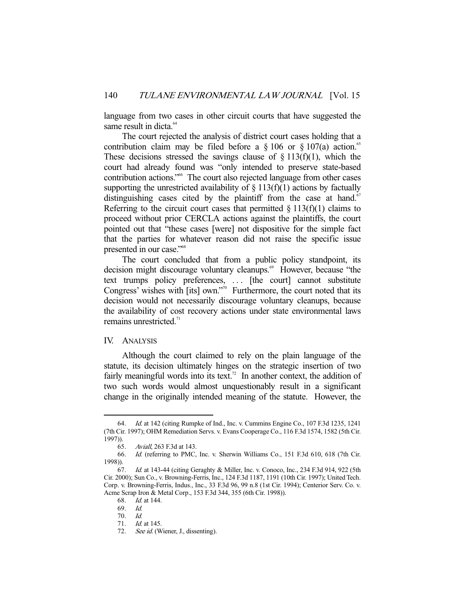language from two cases in other circuit courts that have suggested the same result in dicta.<sup>64</sup>

 The court rejected the analysis of district court cases holding that a contribution claim may be filed before a  $\S 106$  or  $\S 107(a)$  action.<sup>65</sup> These decisions stressed the savings clause of  $\S 113(f)(1)$ , which the court had already found was "only intended to preserve state-based contribution actions."66 The court also rejected language from other cases supporting the unrestricted availability of  $\S$  113(f)(1) actions by factually distinguishing cases cited by the plaintiff from the case at hand. $67$ Referring to the circuit court cases that permitted  $\S 113(f)(1)$  claims to proceed without prior CERCLA actions against the plaintiffs, the court pointed out that "these cases [were] not dispositive for the simple fact that the parties for whatever reason did not raise the specific issue presented in our case."68

 The court concluded that from a public policy standpoint, its decision might discourage voluntary cleanups.<sup>69</sup> However, because "the text trumps policy preferences, ... [the court] cannot substitute Congress' wishes with [its] own."<sup>70</sup> Furthermore, the court noted that its decision would not necessarily discourage voluntary cleanups, because the availability of cost recovery actions under state environmental laws remains unrestricted.<sup>71</sup>

## IV. ANALYSIS

-

 Although the court claimed to rely on the plain language of the statute, its decision ultimately hinges on the strategic insertion of two fairly meaningful words into its text.<sup>72</sup> In another context, the addition of two such words would almost unquestionably result in a significant change in the originally intended meaning of the statute. However, the

 <sup>64.</sup> Id. at 142 (citing Rumpke of Ind., Inc. v. Cummins Engine Co., 107 F.3d 1235, 1241 (7th Cir. 1997); OHM Remediation Servs. v. Evans Cooperage Co., 116 F.3d 1574, 1582 (5th Cir. 1997)).

 <sup>65.</sup> Aviall, 263 F.3d at 143.

 <sup>66.</sup> Id. (referring to PMC, Inc. v. Sherwin Williams Co., 151 F.3d 610, 618 (7th Cir. 1998)).

 <sup>67.</sup> Id. at 143-44 (citing Geraghty & Miller, Inc. v. Conoco, Inc., 234 F.3d 914, 922 (5th Cir. 2000); Sun Co., v. Browning-Ferris, Inc., 124 F.3d 1187, 1191 (10th Cir. 1997); United Tech. Corp. v. Browning-Ferris, Indus., Inc., 33 F.3d 96, 99 n.8 (1st Cir. 1994); Centerior Serv. Co. v. Acme Scrap Iron & Metal Corp., 153 F.3d 344, 355 (6th Cir. 1998)).

 <sup>68.</sup> Id. at 144.

 <sup>69.</sup> Id.

 <sup>70.</sup> Id.

 <sup>71.</sup> Id. at 145.

<sup>72.</sup> See id. (Wiener, J., dissenting).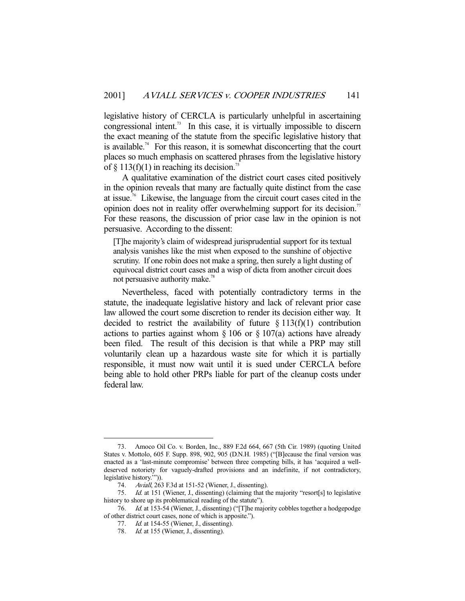legislative history of CERCLA is particularly unhelpful in ascertaining congressional intent.<sup>73</sup> In this case, it is virtually impossible to discern the exact meaning of the statute from the specific legislative history that is available.<sup>74</sup> For this reason, it is somewhat disconcerting that the court places so much emphasis on scattered phrases from the legislative history of § 113(f)(1) in reaching its decision.<sup>75</sup>

 A qualitative examination of the district court cases cited positively in the opinion reveals that many are factually quite distinct from the case at issue.76 Likewise, the language from the circuit court cases cited in the opinion does not in reality offer overwhelming support for its decision.<sup>77</sup> For these reasons, the discussion of prior case law in the opinion is not persuasive. According to the dissent:

[T]he majority's claim of widespread jurisprudential support for its textual analysis vanishes like the mist when exposed to the sunshine of objective scrutiny. If one robin does not make a spring, then surely a light dusting of equivocal district court cases and a wisp of dicta from another circuit does not persuasive authority make.<sup>78</sup>

 Nevertheless, faced with potentially contradictory terms in the statute, the inadequate legislative history and lack of relevant prior case law allowed the court some discretion to render its decision either way. It decided to restrict the availability of future  $\S 113(f)(1)$  contribution actions to parties against whom  $\S 106$  or  $\S 107(a)$  actions have already been filed. The result of this decision is that while a PRP may still voluntarily clean up a hazardous waste site for which it is partially responsible, it must now wait until it is sued under CERCLA before being able to hold other PRPs liable for part of the cleanup costs under federal law.

 <sup>73.</sup> Amoco Oil Co. v. Borden, Inc., 889 F.2d 664, 667 (5th Cir. 1989) (quoting United States v. Mottolo, 605 F. Supp. 898, 902, 905 (D.N.H. 1985) ("[B]ecause the final version was enacted as a 'last-minute compromise' between three competing bills, it has 'acquired a welldeserved notoriety for vaguely-drafted provisions and an indefinite, if not contradictory, legislative history.'")).

 <sup>74.</sup> Aviall, 263 F.3d at 151-52 (Wiener, J., dissenting).

 <sup>75.</sup> Id. at 151 (Wiener, J., dissenting) (claiming that the majority "resort[s] to legislative history to shore up its problematical reading of the statute").

<sup>76.</sup> Id. at 153-54 (Wiener, J., dissenting) ("[T]he majority cobbles together a hodgepodge of other district court cases, none of which is apposite.").

<sup>77.</sup> *Id.* at 154-55 (Wiener, J., dissenting).

<sup>78.</sup> Id. at 155 (Wiener, J., dissenting).